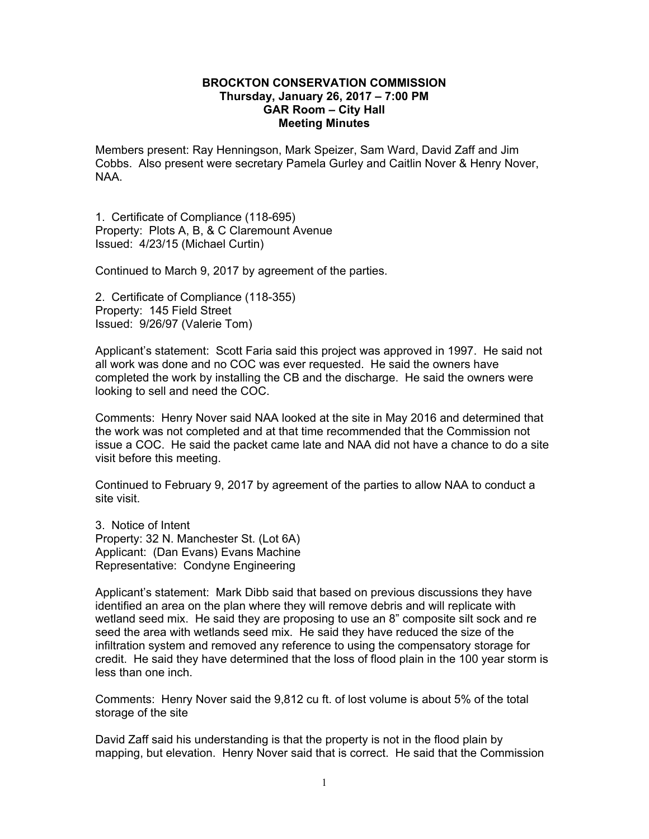## **BROCKTON CONSERVATION COMMISSION Thursday, January 26, 2017 – 7:00 PM GAR Room – City Hall Meeting Minutes**

Members present: Ray Henningson, Mark Speizer, Sam Ward, David Zaff and Jim Cobbs. Also present were secretary Pamela Gurley and Caitlin Nover & Henry Nover, NAA.

1. Certificate of Compliance (118-695) Property: Plots A, B, & C Claremount Avenue Issued: 4/23/15 (Michael Curtin)

Continued to March 9, 2017 by agreement of the parties.

2. Certificate of Compliance (118-355) Property: 145 Field Street Issued: 9/26/97 (Valerie Tom)

Applicant's statement: Scott Faria said this project was approved in 1997. He said not all work was done and no COC was ever requested. He said the owners have completed the work by installing the CB and the discharge. He said the owners were looking to sell and need the COC.

visit before this meeting. Comments: Henry Nover said NAA looked at the site in May 2016 and determined that the work was not completed and at that time recommended that the Commission not issue a COC. He said the packet came late and NAA did not have a chance to do a site

Continued to February 9, 2017 by agreement of the parties to allow NAA to conduct a site visit.

3. Notice of Intent Property: 32 N. Manchester St. (Lot 6A) Applicant: (Dan Evans) Evans Machine Representative: Condyne Engineering

Applicant's statement: Mark Dibb said that based on previous discussions they have identified an area on the plan where they will remove debris and will replicate with wetland seed mix. He said they are proposing to use an 8" composite silt sock and re seed the area with wetlands seed mix. He said they have reduced the size of the infiltration system and removed any reference to using the compensatory storage for credit. He said they have determined that the loss of flood plain in the 100 year storm is less than one inch.

Comments: Henry Nover said the 9,812 cu ft. of lost volume is about 5% of the total storage of the site

David Zaff said his understanding is that the property is not in the flood plain by mapping, but elevation. Henry Nover said that is correct. He said that the Commission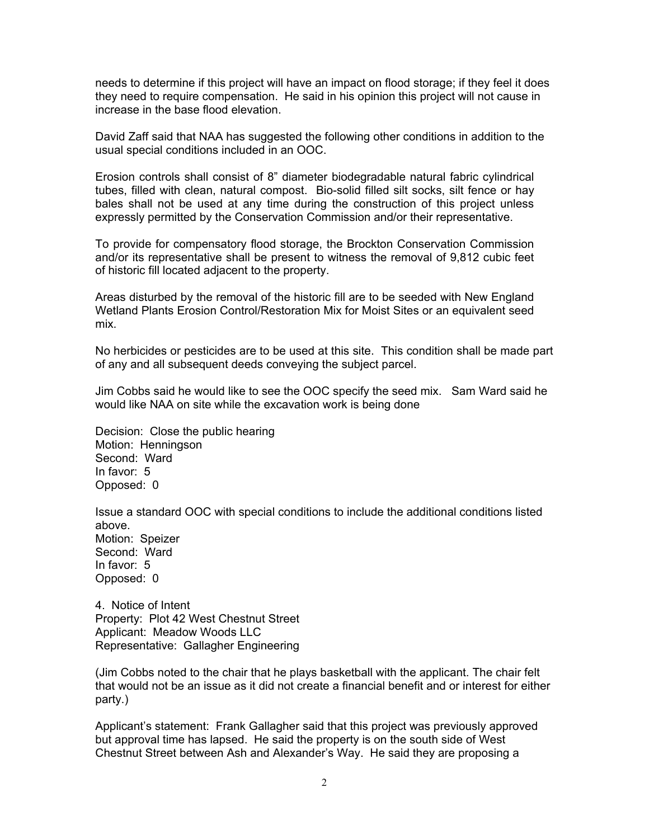needs to determine if this project will have an impact on flood storage; if they feel it does they need to require compensation. He said in his opinion this project will not cause in increase in the base flood elevation.

David Zaff said that NAA has suggested the following other conditions in addition to the usual special conditions included in an OOC.

Erosion controls shall consist of 8" diameter biodegradable natural fabric cylindrical tubes, filled with clean, natural compost. Bio-solid filled silt socks, silt fence or hay bales shall not be used at any time during the construction of this project unless expressly permitted by the Conservation Commission and/or their representative.

To provide for compensatory flood storage, the Brockton Conservation Commission and/or its representative shall be present to witness the removal of 9,812 cubic feet of historic fill located adjacent to the property.

Areas disturbed by the removal of the historic fill are to be seeded with New England Wetland Plants Erosion Control/Restoration Mix for Moist Sites or an equivalent seed mix.

No herbicides or pesticides are to be used at this site. This condition shall be made part of any and all subsequent deeds conveying the subject parcel.

Jim Cobbs said he would like to see the OOC specify the seed mix. Sam Ward said he would like NAA on site while the excavation work is being done

Decision: Close the public hearing Motion: Henningson Second: Ward In favor: 5 Opposed: 0

Issue a standard OOC with special conditions to include the additional conditions listed above. Motion: Speizer Second: Ward In favor: 5 Opposed: 0

4. Notice of Intent Property: Plot 42 West Chestnut Street Applicant: Meadow Woods LLC Representative: Gallagher Engineering

(Jim Cobbs noted to the chair that he plays basketball with the applicant. The chair felt that would not be an issue as it did not create a financial benefit and or interest for either party.)

Applicant's statement: Frank Gallagher said that this project was previously approved but approval time has lapsed. He said the property is on the south side of West Chestnut Street between Ash and Alexander's Way. He said they are proposing a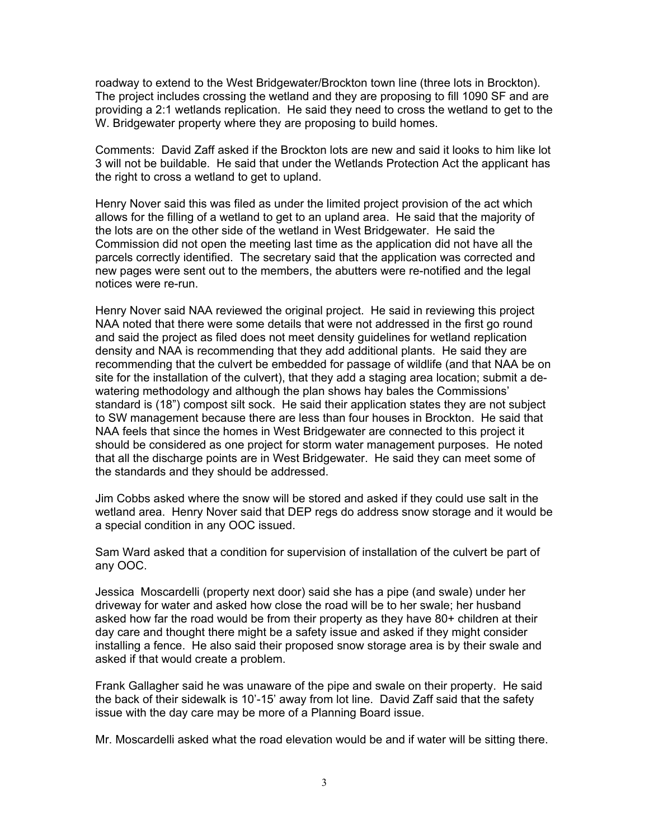roadway to extend to the West Bridgewater/Brockton town line (three lots in Brockton). The project includes crossing the wetland and they are proposing to fill 1090 SF and are providing a 2:1 wetlands replication. He said they need to cross the wetland to get to the W. Bridgewater property where they are proposing to build homes.

Comments: David Zaff asked if the Brockton lots are new and said it looks to him like lot 3 will not be buildable. He said that under the Wetlands Protection Act the applicant has the right to cross a wetland to get to upland.

Henry Nover said this was filed as under the limited project provision of the act which allows for the filling of a wetland to get to an upland area. He said that the majority of the lots are on the other side of the wetland in West Bridgewater. He said the Commission did not open the meeting last time as the application did not have all the parcels correctly identified. The secretary said that the application was corrected and new pages were sent out to the members, the abutters were re-notified and the legal notices were re-run.

Henry Nover said NAA reviewed the original project. He said in reviewing this project NAA noted that there were some details that were not addressed in the first go round and said the project as filed does not meet density guidelines for wetland replication density and NAA is recommending that they add additional plants. He said they are recommending that the culvert be embedded for passage of wildlife (and that NAA be on site for the installation of the culvert), that they add a staging area location; submit a dewatering methodology and although the plan shows hay bales the Commissions' standard is (18") compost silt sock. He said their application states they are not subject to SW management because there are less than four houses in Brockton. He said that NAA feels that since the homes in West Bridgewater are connected to this project it should be considered as one project for storm water management purposes. He noted that all the discharge points are in West Bridgewater. He said they can meet some of the standards and they should be addressed.

Jim Cobbs asked where the snow will be stored and asked if they could use salt in the wetland area. Henry Nover said that DEP regs do address snow storage and it would be a special condition in any OOC issued.

Sam Ward asked that a condition for supervision of installation of the culvert be part of any OOC.

Jessica Moscardelli (property next door) said she has a pipe (and swale) under her driveway for water and asked how close the road will be to her swale; her husband asked how far the road would be from their property as they have 80+ children at their day care and thought there might be a safety issue and asked if they might consider installing a fence. He also said their proposed snow storage area is by their swale and asked if that would create a problem.

Frank Gallagher said he was unaware of the pipe and swale on their property. He said the back of their sidewalk is 10'-15' away from lot line. David Zaff said that the safety issue with the day care may be more of a Planning Board issue.

Mr. Moscardelli asked what the road elevation would be and if water will be sitting there.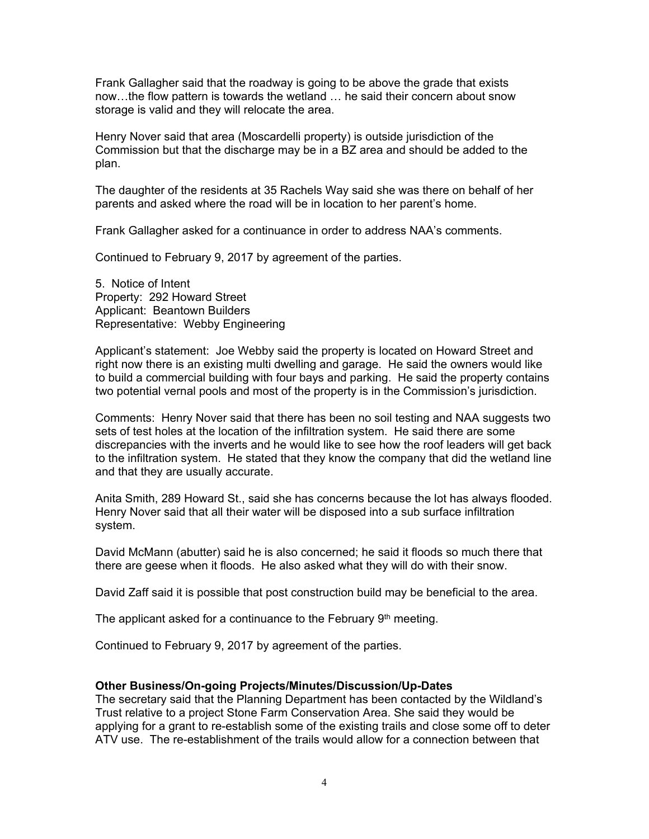Frank Gallagher said that the roadway is going to be above the grade that exists now…the flow pattern is towards the wetland … he said their concern about snow storage is valid and they will relocate the area.

Henry Nover said that area (Moscardelli property) is outside jurisdiction of the Commission but that the discharge may be in a BZ area and should be added to the plan.

The daughter of the residents at 35 Rachels Way said she was there on behalf of her parents and asked where the road will be in location to her parent's home.

Frank Gallagher asked for a continuance in order to address NAA's comments.

Continued to February 9, 2017 by agreement of the parties.

5. Notice of Intent Property: 292 Howard Street Applicant: Beantown Builders Representative: Webby Engineering

Applicant's statement: Joe Webby said the property is located on Howard Street and right now there is an existing multi dwelling and garage. He said the owners would like to build a commercial building with four bays and parking. He said the property contains two potential vernal pools and most of the property is in the Commission's jurisdiction.

Comments: Henry Nover said that there has been no soil testing and NAA suggests two sets of test holes at the location of the infiltration system. He said there are some discrepancies with the inverts and he would like to see how the roof leaders will get back to the infiltration system. He stated that they know the company that did the wetland line and that they are usually accurate.

Anita Smith, 289 Howard St., said she has concerns because the lot has always flooded. Henry Nover said that all their water will be disposed into a sub surface infiltration system.

David McMann (abutter) said he is also concerned; he said it floods so much there that there are geese when it floods. He also asked what they will do with their snow.

David Zaff said it is possible that post construction build may be beneficial to the area.

The applicant asked for a continuance to the February  $9<sup>th</sup>$  meeting.

Continued to February 9, 2017 by agreement of the parties.

## **Other Business/On-going Projects/Minutes/Discussion/Up-Dates**

The secretary said that the Planning Department has been contacted by the Wildland's Trust relative to a project Stone Farm Conservation Area. She said they would be applying for a grant to re-establish some of the existing trails and close some off to deter ATV use. The re-establishment of the trails would allow for a connection between that